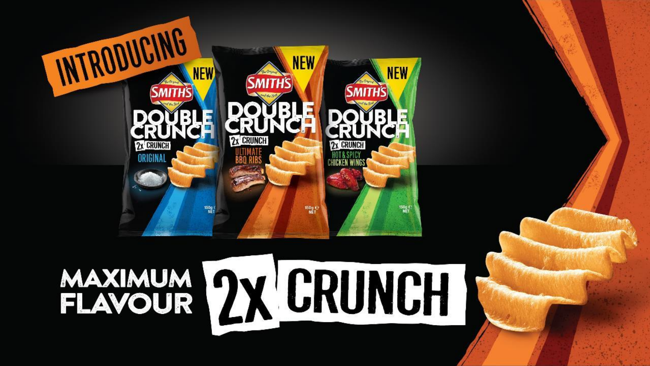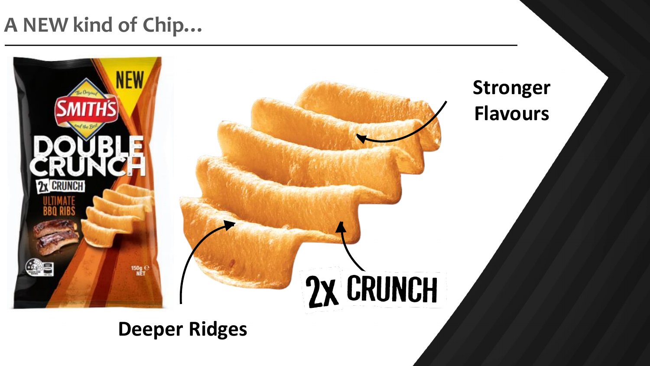# **A NEW kind of Chip…**